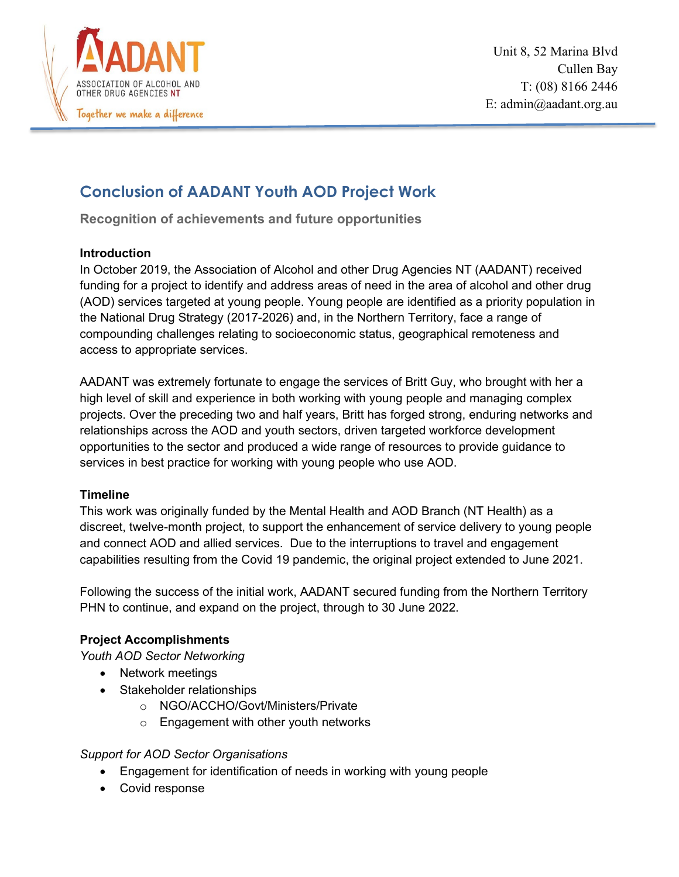

# **Conclusion of AADANT Youth AOD Project Work**

**Recognition of achievements and future opportunities**

## **Introduction**

In October 2019, the Association of Alcohol and other Drug Agencies NT (AADANT) received funding for a project to identify and address areas of need in the area of alcohol and other drug (AOD) services targeted at young people. Young people are identified as a priority population in the National Drug Strategy (2017-2026) and, in the Northern Territory, face a range of compounding challenges relating to socioeconomic status, geographical remoteness and access to appropriate services.

AADANT was extremely fortunate to engage the services of Britt Guy, who brought with her a high level of skill and experience in both working with young people and managing complex projects. Over the preceding two and half years, Britt has forged strong, enduring networks and relationships across the AOD and youth sectors, driven targeted workforce development opportunities to the sector and produced a wide range of resources to provide guidance to services in best practice for working with young people who use AOD.

## **Timeline**

This work was originally funded by the Mental Health and AOD Branch (NT Health) as a discreet, twelve-month project, to support the enhancement of service delivery to young people and connect AOD and allied services. Due to the interruptions to travel and engagement capabilities resulting from the Covid 19 pandemic, the original project extended to June 2021.

Following the success of the initial work, AADANT secured funding from the Northern Territory PHN to continue, and expand on the project, through to 30 June 2022.

## **Project Accomplishments**

*Youth AOD Sector Networking*

- Network meetings
- Stakeholder relationships
	- o NGO/ACCHO/Govt/Ministers/Private
	- o Engagement with other youth networks

## *Support for AOD Sector Organisations*

- Engagement for identification of needs in working with young people
- Covid response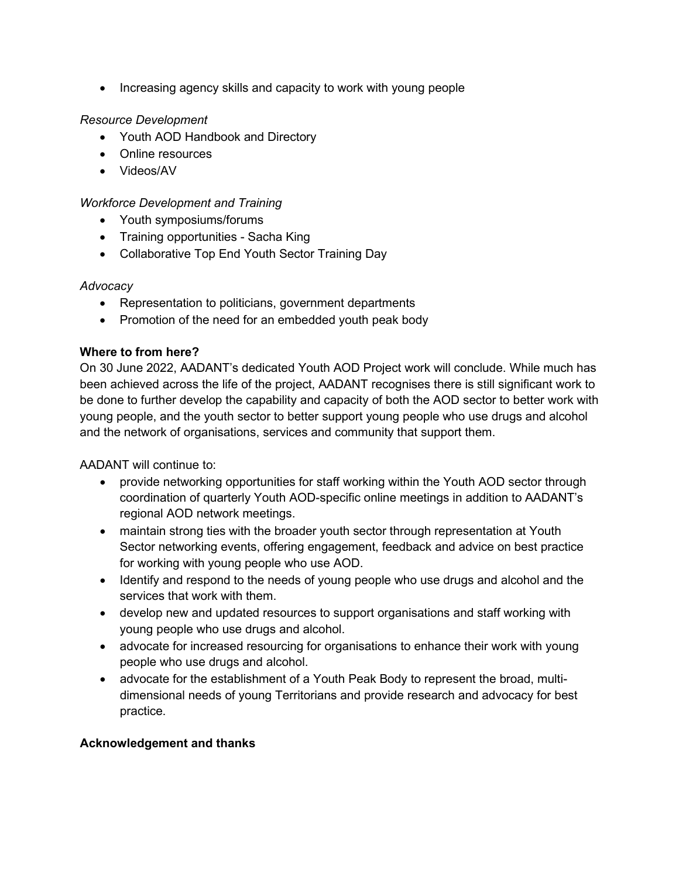• Increasing agency skills and capacity to work with young people

### *Resource Development*

- Youth AOD Handbook and Directory
- Online resources
- Videos/AV

#### *Workforce Development and Training*

- Youth symposiums/forums
- Training opportunities Sacha King
- Collaborative Top End Youth Sector Training Day

### *Advocacy*

- Representation to politicians, government departments
- Promotion of the need for an embedded youth peak body

### **Where to from here?**

On 30 June 2022, AADANT's dedicated Youth AOD Project work will conclude. While much has been achieved across the life of the project, AADANT recognises there is still significant work to be done to further develop the capability and capacity of both the AOD sector to better work with young people, and the youth sector to better support young people who use drugs and alcohol and the network of organisations, services and community that support them.

AADANT will continue to:

- provide networking opportunities for staff working within the Youth AOD sector through coordination of quarterly Youth AOD-specific online meetings in addition to AADANT's regional AOD network meetings.
- maintain strong ties with the broader youth sector through representation at Youth Sector networking events, offering engagement, feedback and advice on best practice for working with young people who use AOD.
- Identify and respond to the needs of young people who use drugs and alcohol and the services that work with them.
- develop new and updated resources to support organisations and staff working with young people who use drugs and alcohol.
- advocate for increased resourcing for organisations to enhance their work with young people who use drugs and alcohol.
- advocate for the establishment of a Youth Peak Body to represent the broad, multidimensional needs of young Territorians and provide research and advocacy for best practice.

## **Acknowledgement and thanks**